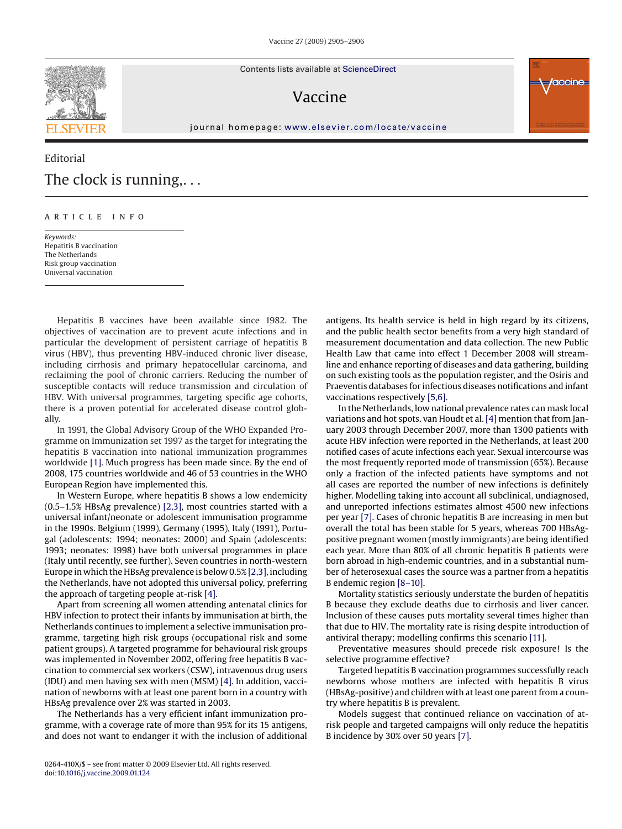

Contents lists available at [ScienceDirect](http://www.sciencedirect.com/science/journal/0264410X)

## Vaccine



journal homepage: [www.elsevier.com/locate/vaccine](http://www.elsevier.com/locate/vaccine)

## Editorial The clock is running,...

## article info

*Keywords:* Hepatitis B vaccination The Netherlands Risk group vaccination Universal vaccination

Hepatitis B vaccines have been available since 1982. The objectives of vaccination are to prevent acute infections and in particular the development of persistent carriage of hepatitis B virus (HBV), thus preventing HBV-induced chronic liver disease, including cirrhosis and primary hepatocellular carcinoma, and reclaiming the pool of chronic carriers. Reducing the number of susceptible contacts will reduce transmission and circulation of HBV. With universal programmes, targeting specific age cohorts, there is a proven potential for accelerated disease control globally.

In 1991, the Global Advisory Group of the WHO Expanded Programme on Immunization set 1997 as the target for integrating the hepatitis B vaccination into national immunization programmes worldwide [\[1\]. M](#page-1-0)uch progress has been made since. By the end of 2008, 175 countries worldwide and 46 of 53 countries in the WHO European Region have implemented this.

In Western Europe, where hepatitis B shows a low endemicity (0.5–1.5% HBsAg prevalence) [\[2,3\], m](#page-1-0)ost countries started with a universal infant/neonate or adolescent immunisation programme in the 1990s. Belgium (1999), Germany (1995), Italy (1991), Portugal (adolescents: 1994; neonates: 2000) and Spain (adolescents: 1993; neonates: 1998) have both universal programmes in place (Italy until recently, see further). Seven countries in north-western Europe in which the HBsAg prevalence is below 0.5% [\[2,3\], i](#page-1-0)ncluding the Netherlands, have not adopted this universal policy, preferring the approach of targeting people at-risk [\[4\].](#page-1-0)

Apart from screening all women attending antenatal clinics for HBV infection to protect their infants by immunisation at birth, the Netherlands continues to implement a selective immunisation programme, targeting high risk groups (occupational risk and some patient groups). A targeted programme for behavioural risk groups was implemented in November 2002, offering free hepatitis B vaccination to commercial sex workers (CSW), intravenous drug users (IDU) and men having sex with men (MSM) [\[4\]. I](#page-1-0)n addition, vaccination of newborns with at least one parent born in a country with HBsAg prevalence over 2% was started in 2003.

The Netherlands has a very efficient infant immunization programme, with a coverage rate of more than 95% for its 15 antigens, and does not want to endanger it with the inclusion of additional antigens. Its health service is held in high regard by its citizens, and the public health sector benefits from a very high standard of measurement documentation and data collection. The new Public Health Law that came into effect 1 December 2008 will streamline and enhance reporting of diseases and data gathering, building on such existing tools as the population register, and the Osiris and Praeventis databases for infectious diseases notifications and infant vaccinations respectively [\[5,6\].](#page-1-0)

In the Netherlands, low national prevalence rates can mask local variations and hot spots. van Houdt et al. [\[4\]](#page-1-0) mention that from January 2003 through December 2007, more than 1300 patients with acute HBV infection were reported in the Netherlands, at least 200 notified cases of acute infections each year. Sexual intercourse was the most frequently reported mode of transmission (65%). Because only a fraction of the infected patients have symptoms and not all cases are reported the number of new infections is definitely higher. Modelling taking into account all subclinical, undiagnosed, and unreported infections estimates almost 4500 new infections per year [\[7\]. C](#page-1-0)ases of chronic hepatitis B are increasing in men but overall the total has been stable for 5 years, whereas 700 HBsAgpositive pregnant women (mostly immigrants) are being identified each year. More than 80% of all chronic hepatitis B patients were born abroad in high-endemic countries, and in a substantial number of heterosexual cases the source was a partner from a hepatitis B endemic region [\[8–10\].](#page-1-0)

Mortality statistics seriously understate the burden of hepatitis B because they exclude deaths due to cirrhosis and liver cancer. Inclusion of these causes puts mortality several times higher than that due to HIV. The mortality rate is rising despite introduction of antiviral therapy; modelling confirms this scenario [\[11\].](#page-1-0)

Preventative measures should precede risk exposure! Is the selective programme effective?

Targeted hepatitis B vaccination programmes successfully reach newborns whose mothers are infected with hepatitis B virus (HBsAg-positive) and children with at least one parent from a country where hepatitis B is prevalent.

Models suggest that continued reliance on vaccination of atrisk people and targeted campaigns will only reduce the hepatitis B incidence by 30% over 50 years [\[7\].](#page-1-0)